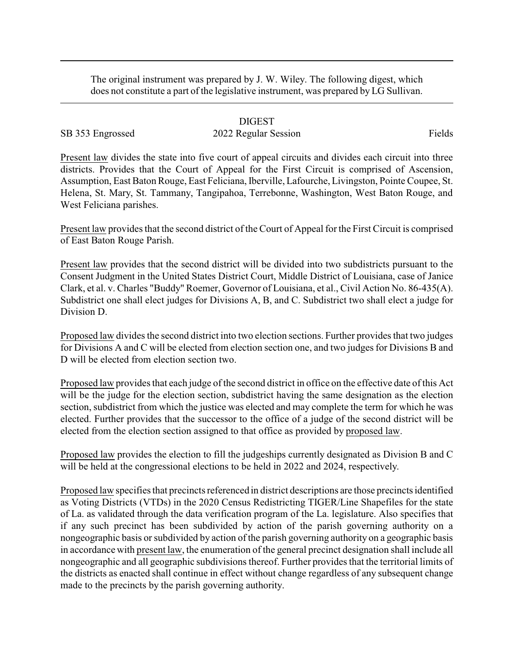The original instrument was prepared by J. W. Wiley. The following digest, which does not constitute a part of the legislative instrument, was prepared by LG Sullivan.

## DIGEST

## SB 353 Engrossed 2022 Regular Session Fields

Present law divides the state into five court of appeal circuits and divides each circuit into three districts. Provides that the Court of Appeal for the First Circuit is comprised of Ascension, Assumption, East Baton Rouge, East Feliciana, Iberville, Lafourche, Livingston, Pointe Coupee, St. Helena, St. Mary, St. Tammany, Tangipahoa, Terrebonne, Washington, West Baton Rouge, and West Feliciana parishes.

Present law provides that the second district of the Court of Appeal for the First Circuit is comprised of East Baton Rouge Parish.

Present law provides that the second district will be divided into two subdistricts pursuant to the Consent Judgment in the United States District Court, Middle District of Louisiana, case of Janice Clark, et al. v. Charles "Buddy" Roemer, Governor of Louisiana, et al., Civil Action No. 86-435(A). Subdistrict one shall elect judges for Divisions A, B, and C. Subdistrict two shall elect a judge for Division D.

Proposed law divides the second district into two election sections. Further provides that two judges for Divisions A and C will be elected from election section one, and two judges for Divisions B and D will be elected from election section two.

Proposed law provides that each judge of the second district in office on the effective date of this Act will be the judge for the election section, subdistrict having the same designation as the election section, subdistrict from which the justice was elected and may complete the term for which he was elected. Further provides that the successor to the office of a judge of the second district will be elected from the election section assigned to that office as provided by proposed law.

Proposed law provides the election to fill the judgeships currently designated as Division B and C will be held at the congressional elections to be held in 2022 and 2024, respectively.

Proposed law specifies that precincts referenced in district descriptions are those precincts identified as Voting Districts (VTDs) in the 2020 Census Redistricting TIGER/Line Shapefiles for the state of La. as validated through the data verification program of the La. legislature. Also specifies that if any such precinct has been subdivided by action of the parish governing authority on a nongeographic basis or subdivided by action of the parish governing authority on a geographic basis in accordance with present law, the enumeration of the general precinct designation shall include all nongeographic and all geographic subdivisions thereof. Further provides that the territorial limits of the districts as enacted shall continue in effect without change regardless of any subsequent change made to the precincts by the parish governing authority.